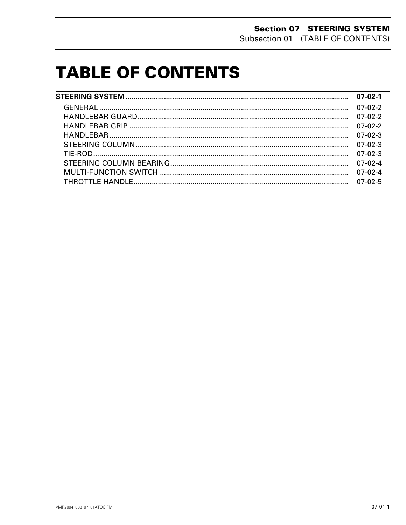# **TABLE OF CONTENTS**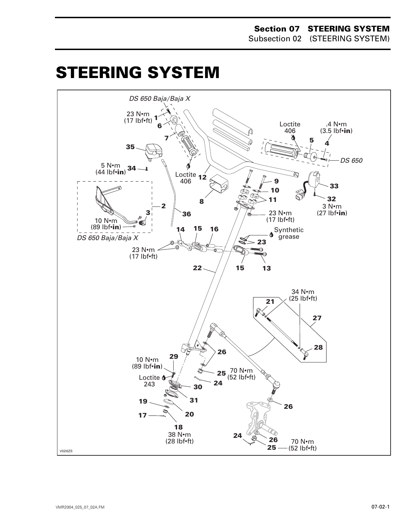#### **Section 07 STEERING SYSTEM** Subsection 02 (STEERING SYSTEM)

# <span id="page-1-0"></span>**STEERING SYSTEM**

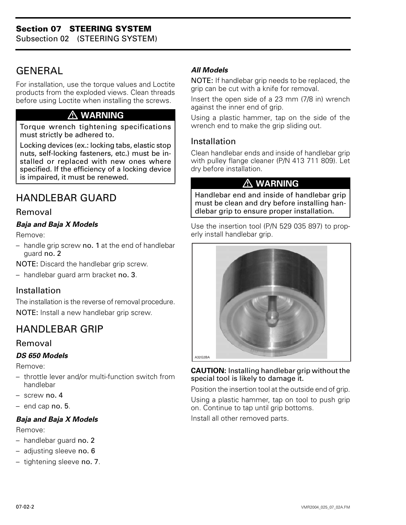Subsection 02 (STEERING SYSTEM)

## <span id="page-2-0"></span>**GENERAL**

For installation, use the torque values and Loctite products from the exploded views. Clean threads before using Loctite when installing the screws.

### **WARNING**

Torque wrench tightening specifications must strictly be adhered to.

Locking devices (ex.: locking tabs, elastic stop nuts, self-locking fasteners, etc.) must be installed or replaced with new ones where specified. If the efficiency of a locking device is impaired, it must be renewed.  $\triangle WARMING$ 

### HANDLEBAR GUARD

#### Removal

#### *Baja and Baja X Models*

Remove:

– handle grip screw no. 1 at the end of handlebar guard no. 2

NOTE: Discard the handlebar grip screw.

– handlebar guard arm bracket no. 3.

#### Installation

The installation is the reverse of removal procedure. NOTE: Install a new handlebar grip screw.

### HANDLEBAR GRIP

#### Removal

#### *DS 650 Models*

Remove:

- throttle lever and/or multi-function switch from handlebar
- screw no. 4
- end cap no. 5.

#### *Baja and Baja X Models*

Remove:

- handlebar guard no. 2
- adjusting sleeve no. 6
- tightening sleeve no. 7.

#### *All Models*

NOTE: If handlebar grip needs to be replaced, the grip can be cut with a knife for removal.

Insert the open side of a 23 mm (7/8 in) wrench against the inner end of grip.

Using a plastic hammer, tap on the side of the wrench end to make the grip sliding out.

#### Installation

Clean handlebar ends and inside of handlebar grip with pulley flange cleaner (P/N 413 711 809). Let dry before installation.

Handlebar end and inside of handlebar grip must be clean and dry before installing handlebar grip to ensure proper installation.

Use the insertion tool (P/N 529 035 897) to properly install handlebar grip.



#### **CAUTION:** Installing handlebar grip without the special tool is likely to damage it.

Position the insertion tool at the outside end of grip.

Using a plastic hammer, tap on tool to push grip on. Continue to tap until grip bottoms.

Install all other removed parts.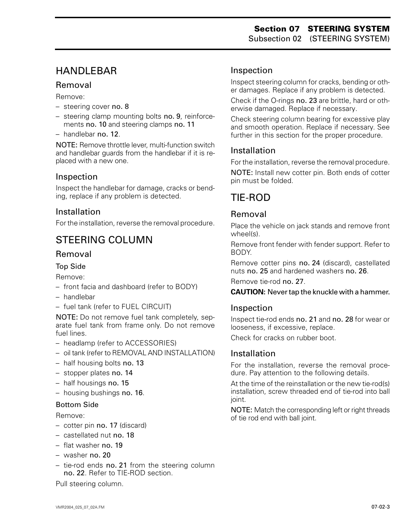### <span id="page-3-0"></span>HANDLEBAR

#### Removal

Remove:

- steering cover no. 8
- steering clamp mounting bolts no. 9, reinforcements no. 10 and steering clamps no. 11
- handlebar no. 12.

NOTE: Remove throttle lever, multi-function switch and handlebar guards from the handlebar if it is replaced with a new one.

#### Inspection

Inspect the handlebar for damage, cracks or bending, replace if any problem is detected.

#### Installation

For the installation, reverse the removal procedure.

### STEERING COLUMN

#### Removal

#### Top Side

Remove:

- front facia and dashboard (refer to BODY)
- handlebar
- fuel tank (refer to FUEL CIRCUIT)

NOTE: Do not remove fuel tank completely, separate fuel tank from frame only. Do not remove fuel lines.

- headlamp (refer to ACCESSORIES)
- oil tank (refer to REMOVAL AND INSTALLATION)
- half housing bolts no. 13
- stopper plates no. 14
- half housings no. 15
- housing bushings no. 16.

#### Bottom Side

Remove:

- cotter pin no. 17 (discard)
- castellated nut no. 18
- flat washer no. 19
- washer no. 20
- tie-rod ends no. 21 from the steering column no. 22. Refer to TIE-ROD section.

Pull steering column.

#### Inspection

Inspect steering column for cracks, bending or other damages. Replace if any problem is detected.

Check if the O-rings no. 23 are brittle, hard or otherwise damaged. Replace if necessary.

Check steering column bearing for excessive play and smooth operation. Replace if necessary. See further in this section for the proper procedure.

#### Installation

For the installation, reverse the removal procedure.

NOTE: Install new cotter pin. Both ends of cotter pin must be folded.

### TIE-ROD

#### Removal

Place the vehicle on jack stands and remove front wheel(s).

Remove front fender with fender support. Refer to BODY.

Remove cotter pins no. 24 (discard), castellated nuts no. 25 and hardened washers no. 26.

Remove tie-rod no. 27.

#### **CAUTION:** Never tap the knuckle with a hammer.

#### Inspection

Inspect tie-rod ends no. 21 and no. 28 for wear or looseness, if excessive, replace.

Check for cracks on rubber boot.

#### Installation

For the installation, reverse the removal procedure. Pay attention to the following details.

At the time of the reinstallation or the new tie-rod(s) installation, screw threaded end of tie-rod into ball joint.

NOTE: Match the corresponding left or right threads of tie rod end with ball joint.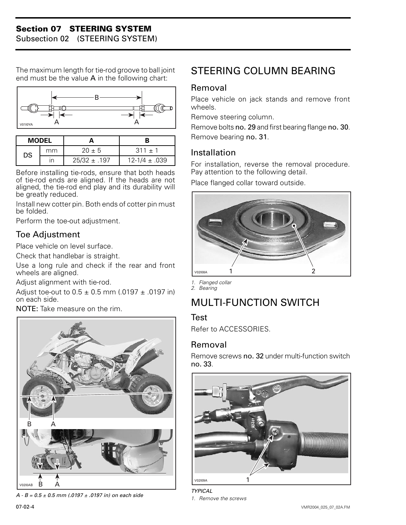#### **Section 07 STEERING SYSTEM**

Subsection 02 (STEERING SYSTEM)

The maximum length for tie-rod groove to ball joint end must be the value  $A$  in the following chart:



| <b>MODEL</b> |    |                  |                   |
|--------------|----|------------------|-------------------|
| DS           | mm | $20 \pm 5$       | $.311 + 1$        |
|              | ın | $25/32 \pm .197$ | $12-1/4 \pm .039$ |

Before installing tie-rods, ensure that both heads of tie-rod ends are aligned. If the heads are not aligned, the tie-rod end play and its durability will be greatly reduced.

Install new cotter pin. Both ends of cotter pin must be folded.

Perform the toe-out adjustment.

#### Toe Adjustment

Place vehicle on level surface.

Check that handlebar is straight.

Use a long rule and check if the rear and front wheels are aligned.

Adjust alignment with tie-rod.

Adjust toe-out to  $0.5 \pm 0.5$  mm (.0197  $\pm$  .0197 in) on each side.

NOTE: Take measure on the rim.



*A - B = 0.5 ± 0.5 mm (.0197 ± .0197 in) on each side*

### <span id="page-4-0"></span>STEERING COLUMN BEARING

#### Removal

Place vehicle on jack stands and remove front wheels.

Remove steering column.

Remove bolts no. 29 and first bearing flange no. 30. Remove bearing no. 31.

#### Installation

For installation, reverse the removal procedure. Pay attention to the following detail.

Place flanged collar toward outside.



*1. Flanged collar 2. Bearing*

## MULTI-FUNCTION SWITCH

#### Test

Refer to ACCESSORIES.

#### Removal

Remove screws no. 32 under multi-function switch no. 33.

![](_page_4_Picture_32.jpeg)

*TYPICAL 1. Remove the screws*